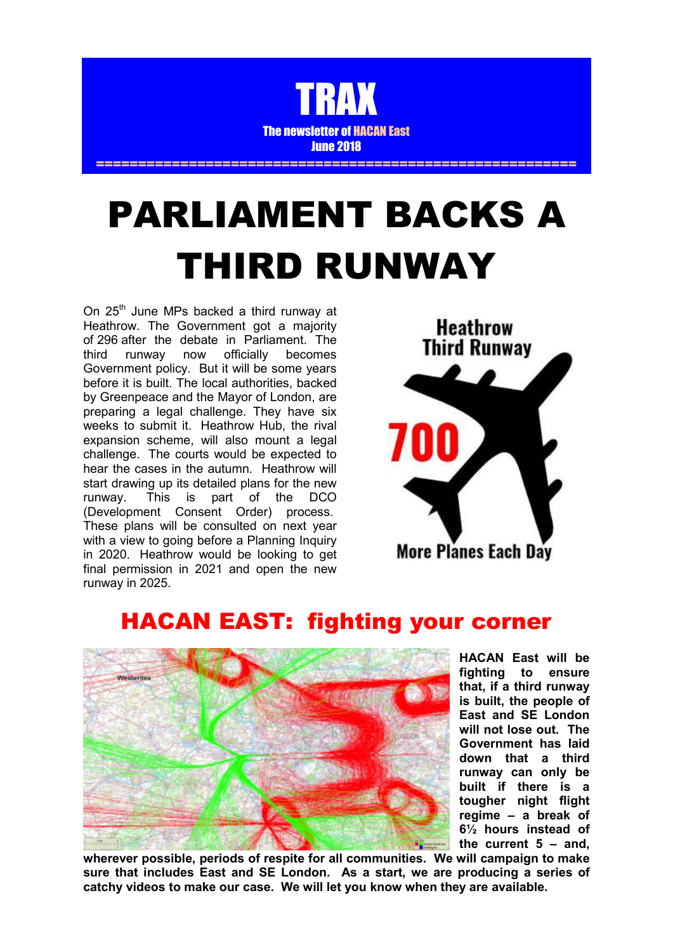

# PARLIAMENT BACKS A THIRD RUNWAY

On 25<sup>th</sup> June MPs backed a third runway at Heathrow. The Government got a majority of 296 after the debate in Parliament. The third runway now officially becomes Government policy. But it will be some years before it is built. The local authorities, backed by Greenpeace and the Mayor of London, are preparing a legal challenge. They have six weeks to submit it. Heathrow Hub, the rival expansion scheme, will also mount a legal challenge. The courts would be expected to hear the cases in the autumn. Heathrow will start drawing up its detailed plans for the new runway. This is part of the DCO (Development Consent Order) process. These plans will be consulted on next year with a view to going before a Planning Inquiry in 2020. Heathrow would be looking to get final permission in 2021 and open the new runway in 2025.



## HACAN EAST: fighting your corner



**HACAN East will be fighting to ensure that, if a third runway is built, the people of East and SE London will not lose out. The Government has laid down that a third runway can only be built if there is a tougher night flight regime – a break of 6½ hours instead of the current 5 – and,** 

**wherever possible, periods of respite for all communities. We will campaign to make sure that includes East and SE London. As a start, we are producing a series of catchy videos to make our case. We will let you know when they are available.**